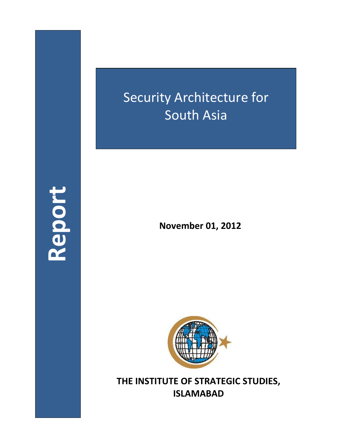## Security Architecture for South Asia

**Report**

**November 01, 2012**



**THE INSTITUTE OF STRATEGIC STUDIES, ISLAMABAD**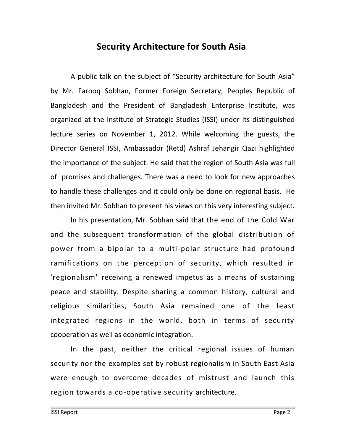## **Security Architecture for South Asia**

A public talk on the subject of "Security architecture for South Asia" by Mr. Farooq Sobhan, Former Foreign Secretary, Peoples Republic of Bangladesh and the President of Bangladesh Enterprise Institute, was organized at the Institute of Strategic Studies (ISSI) under its distinguished lecture series on November 1, 2012. While welcoming the guests, the Director General ISSI, Ambassador (Retd) Ashraf Jehangir Qazi highlighted the importance of the subject. He said that the region of South Asia was full of promises and challenges. There was a need to look for new approaches to handle these challenges and it could only be done on regional basis. He then invited Mr. Sobhan to present his views on this very interesting subject.

In his presentation, Mr. Sobhan said that the end of the Cold War and the subsequent transformation of the global distribution of power from a bipolar to a multi-polar structure had profound ramifications on the perception of security, which resulted in 'regionalism' receiving a renewed impetus as a means of sustaining peace and stability. Despite sharing a common history, cultural and religious similarities, South Asia remained one of the least integrated regions in the world, both in terms of security cooperation as well as economic integration.

In the past, neither the critical regional issues of human security nor the examples set by robust regionalism in South East Asia were enough to overcome decades of mistrust and launch this region towards a co-operative security architecture.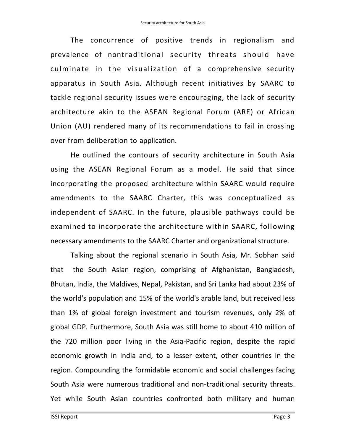The concurrence of positive trends in regionalism and prevalence of nontraditional security threats should have culminate in the visualization of a comprehensive security apparatus in South Asia. Although recent initiatives by SAARC to tackle regional security issues were encouraging, the lack of security architecture akin to the ASEAN Regional Forum (ARE) or African Union (AU) rendered many of its recommendations to fail in crossing over from deliberation to application.

He outlined the contours of security architecture in South Asia using the ASEAN Regional Forum as a model. He said that since incorporating the proposed architecture within SAARC would require amendments to the SAARC Charter, this was conceptualized as independent of SAARC. In the future, plausible pathways could be examined to incorporate the architecture within SAARC, following necessary amendments to the SAARC Charter and organizational structure.

Talking about the regional scenario in South Asia, Mr. Sobhan said that the South Asian region, comprising of Afghanistan, Bangladesh, Bhutan, India, the Maldives, Nepal, Pakistan, and Sri Lanka had about 23% of the world's population and 15% of the world's arable land, but received less than 1% of global foreign investment and tourism revenues, only 2% of global GDP. Furthermore, South Asia was still home to about 410 million of the 720 million poor living in the Asia-Pacific region, despite the rapid economic growth in India and, to a lesser extent, other countries in the region. Compounding the formidable economic and social challenges facing South Asia were numerous traditional and non-traditional security threats. Yet while South Asian countries confronted both military and human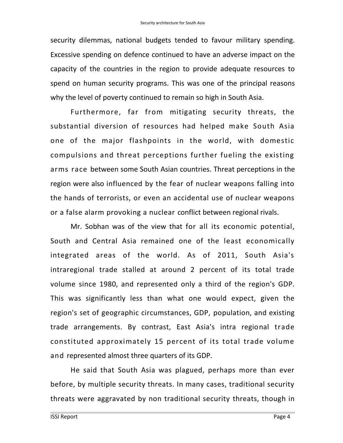security dilemmas, national budgets tended to favour military spending. Excessive spending on defence continued to have an adverse impact on the capacity of the countries in the region to provide adequate resources to spend on human security programs. This was one of the principal reasons why the level of poverty continued to remain so high in South Asia.

Furthermore, far from mitigating security threats, the substantial diversion of resources had helped make South Asia one of the major flashpoints in the world, with domestic compulsions and threat perceptions further fueling the existing arms race between some South Asian countries. Threat perceptions in the region were also influenced by the fear of nuclear weapons falling into the hands of terrorists, or even an accidental use of nuclear weapons or a false alarm provoking a nuclear conflict between regional rivals.

Mr. Sobhan was of the view that for all its economic potential, South and Central Asia remained one of the least economically integrated areas of the world. As of 2011, South Asia's intraregional trade stalled at around 2 percent of its total trade volume since 1980, and represented only a third of the region's GDP. This was significantly less than what one would expect, given the region's set of geographic circumstances, GDP, population, and existing trade arrangements. By contrast, East Asia's intra regional trade constituted approximately 15 percent of its total trade volume and represented almost three quarters of its GDP.

He said that South Asia was plagued, perhaps more than ever before, by multiple security threats. In many cases, traditional security threats were aggravated by non traditional security threats, though in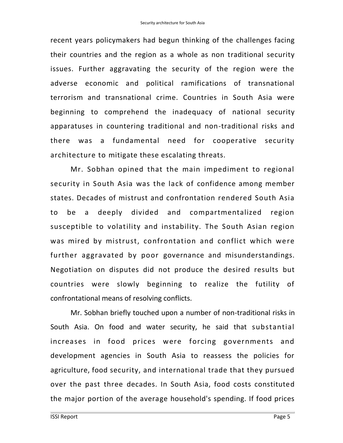recent years policymakers had begun thinking of the challenges facing their countries and the region as a whole as non traditional security issues. Further aggravating the security of the region were the adverse economic and political ramifications of transnational terrorism and transnational crime. Countries in South Asia were beginning to comprehend the inadequacy of national security apparatuses in countering traditional and non-traditional risks and there was a fundamental need for cooperative security architecture to mitigate these escalating threats.

Mr. Sobhan opined that the main impediment to regional security in South Asia was the lack of confidence among member states. Decades of mistrust and confrontation rendered South Asia to be a deeply divided and compartmentalized region susceptible to volatility and instability. The South Asian region was mired by mistrust, confrontation and conflict which were further aggravated by poor governance and misunderstandings. Negotiation on disputes did not produce the desired results but countries were slowly beginning to realize the futility of confrontational means of resolving conflicts.

Mr. Sobhan briefly touched upon a number of non-traditional risks in South Asia. On food and water security, he said that substantial increases in food prices were forcing governments and development agencies in South Asia to reassess the policies for agriculture, food security, and international trade that they pursued over the past three decades. In South Asia, food costs constituted the major portion of the average household's spending. If food prices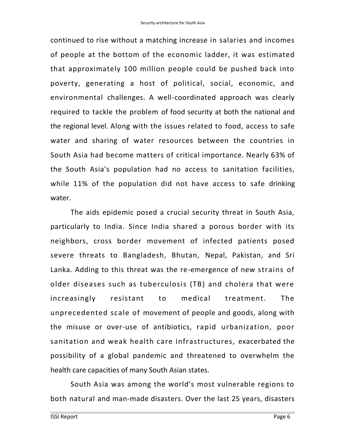continued to rise without a matching increase in salaries and incomes of people at the bottom of the economic ladder, it was estimated that approximately 100 million people could be pushed back into poverty, generating a host of political, social, economic, and environmental challenges. A well-coordinated approach was clearly required to tackle the problem of food security at both the national and the regional level. Along with the issues related to food, access to safe water and sharing of water resources between the countries in South Asia had become matters of critical importance. Nearly 63% of the South Asia's population had no access to sanitation facilities, while 11% of the population did not have access to safe drinking water.

The aids epidemic posed a crucial security threat in South Asia, particularly to India. Since India shared a porous border with its neighbors, cross border movement of infected patients posed severe threats to Bangladesh, Bhutan, Nepal, Pakistan, and Sri Lanka. Adding to this threat was the re-emergence of new strains of older diseases such as tuberculosis (TB) and cholera that were increasingly resistant to medical treatment. The unprecedented scale of movement of people and goods, along with the misuse or over-use of antibiotics, rapid urbanization, poor sanitation and weak health care infrastructures, exacerbated the possibility of a global pandemic and threatened to overwhelm the health care capacities of many South Asian states.

South Asia was among the world's most vulnerable regions to both natural and man-made disasters. Over the last 25 years, disasters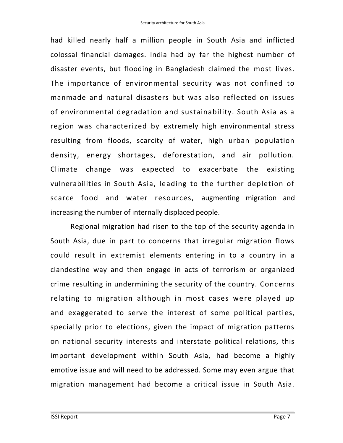had killed nearly half a million people in South Asia and inflicted colossal financial damages. India had by far the highest number of disaster events, but flooding in Bangladesh claimed the most lives. The importance of environmental security was not confined to manmade and natural disasters but was also reflected on issues of environmental degradation and sustainability. South Asia as a region was characterized by extremely high environmental stress resulting from floods, scarcity of water, high urban population density, energy shortages, deforestation, and air pollution. Climate change was expected to exacerbate the existing vulnerabilities in South Asia, leading to the further depletion of scarce food and water resources, augmenting migration and increasing the number of internally displaced people.

Regional migration had risen to the top of the security agenda in South Asia, due in part to concerns that irregular migration flows could result in extremist elements entering in to a country in a clandestine way and then engage in acts of terrorism or organized crime resulting in undermining the security of the country. Concerns relating to migration although in most cases were played up and exaggerated to serve the interest of some political parties, specially prior to elections, given the impact of migration patterns on national security interests and interstate political relations, this important development within South Asia, had become a highly emotive issue and will need to be addressed. Some may even argue that migration management had become a critical issue in South Asia.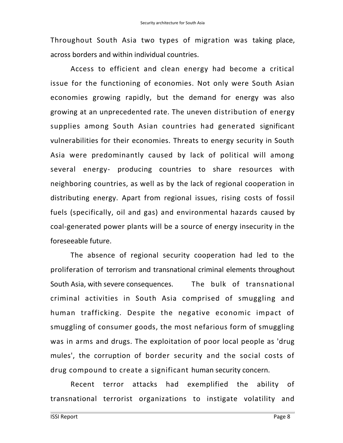Throughout South Asia two types of migration was taking place, across borders and within individual countries.

Access to efficient and clean energy had become a critical issue for the functioning of economies. Not only were South Asian economies growing rapidly, but the demand for energy was also growing at an unprecedented rate. The uneven distribution of energy supplies among South Asian countries had generated significant vulnerabilities for their economies. Threats to energy security in South Asia were predominantly caused by lack of political will among several energy- producing countries to share resources with neighboring countries, as well as by the lack of regional cooperation in distributing energy. Apart from regional issues, rising costs of fossil fuels (specifically, oil and gas) and environmental hazards caused by coal-generated power plants will be a source of energy insecurity in the foreseeable future.

The absence of regional security cooperation had led to the proliferation of terrorism and transnational criminal elements throughout South Asia, with severe consequences. The bulk of transnational criminal activities in South Asia comprised of smuggling and human trafficking. Despite the negative economic impact of smuggling of consumer goods, the most nefarious form of smuggling was in arms and drugs. The exploitation of poor local people as 'drug mules', the corruption of border security and the social costs of drug compound to create a significant human security concern.

Recent terror attacks had exemplified the ability of transnational terrorist organizations to instigate volatility and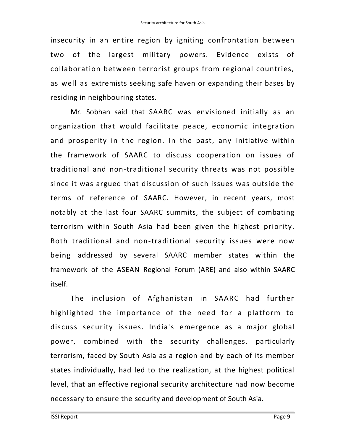insecurity in an entire region by igniting confrontation between two of the largest military powers. Evidence exists of collaboration between terrorist groups from regional countries, as well as extremists seeking safe haven or expanding their bases by residing in neighbouring states.

Mr. Sobhan said that SAARC was envisioned initially as an organization that would facilitate peace, economic integration and prosperity in the region. In the past, any initiative within the framework of SAARC to discuss cooperation on issues of traditional and non-traditional security threats was not possible since it was argued that discussion of such issues was outside the terms of reference of SAARC. However, in recent years, most notably at the last four SAARC summits, the subject of combating terrorism within South Asia had been given the highest priority. Both traditional and non-traditional security issues were now being addressed by several SAARC member states within the framework of the ASEAN Regional Forum (ARE) and also within SAARC itself.

The inclusion of Afghanistan in SAARC had further highlighted the importance of the need for a platform to discuss security issues. India's emergence as a major global power, combined with the security challenges, particularly terrorism, faced by South Asia as a region and by each of its member states individually, had led to the realization, at the highest political level, that an effective regional security architecture had now become necessary to ensure the security and development of South Asia.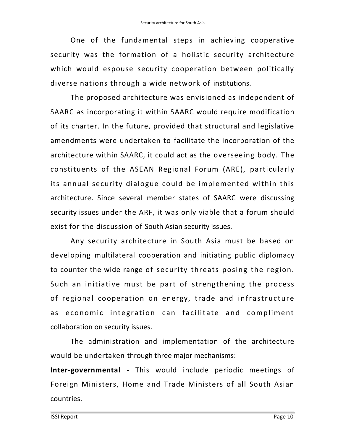One of the fundamental steps in achieving cooperative security was the formation of a holistic security architecture which would espouse security cooperation between politically diverse nations through a wide network of institutions.

The proposed architecture was envisioned as independent of SAARC as incorporating it within SAARC would require modification of its charter. In the future, provided that structural and legislative amendments were undertaken to facilitate the incorporation of the architecture within SAARC, it could act as the overseeing body. The constituents of the ASEAN Regional Forum (ARE), particularly its annual security dialogue could be implemented within this architecture. Since several member states of SAARC were discussing security issues under the ARF, it was only viable that a forum should exist for the discussion of South Asian security issues.

Any security architecture in South Asia must be based on developing multilateral cooperation and initiating public diplomacy to counter the wide range of security threats posing the region. Such an initiative must be part of strengthening the process of regional cooperation on energy, trade and infrastructure as economic integration can facilitate and compliment collaboration on security issues.

The administration and implementation of the architecture would be undertaken through three major mechanisms:

**Inter-governmental** - This would include periodic meetings of Foreign Ministers, Home and Trade Ministers of all South Asian countries.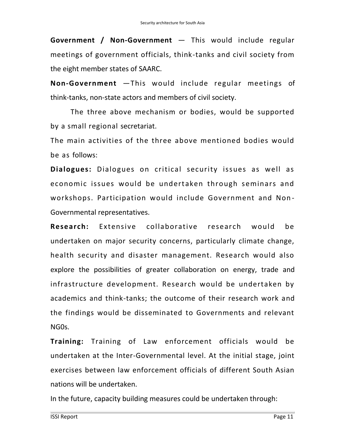**Government / Non-Government** — This would include regular meetings of government officials, think-tanks and civil society from the eight member states of SAARC.

**Non-Government** —This would include regular meetings of think-tanks, non-state actors and members of civil society.

The three above mechanism or bodies, would be supported by a small regional secretariat.

The main activities of the three above mentioned bodies would be as follows:

**Dialogues:** Dialogues on critical security issues as well as economic issues would be undertaken through seminars and workshops. Participation would include Government and Non - Governmental representatives.

**Research:** Extensive collaborative research would be undertaken on major security concerns, particularly climate change, health security and disaster management. Research would also explore the possibilities of greater collaboration on energy, trade and infrastructure development. Research would be undertaken by academics and think-tanks; the outcome of their research work and the findings would be disseminated to Governments and relevant NG0s.

**Training:** Training of Law enforcement officials would be undertaken at the Inter-Governmental level. At the initial stage, joint exercises between law enforcement officials of different South Asian nations will be undertaken.

In the future, capacity building measures could be undertaken through: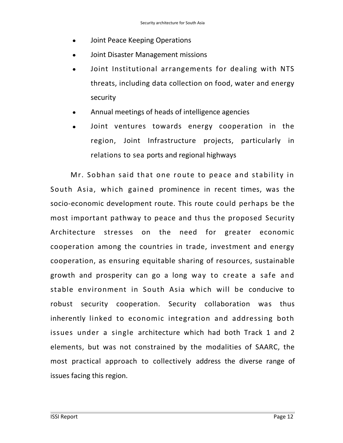- Joint Peace Keeping Operations
- Joint Disaster Management missions
- Joint Institutional arrangements for dealing with NTS threats, including data collection on food, water and energy security
- Annual meetings of heads of intelligence agencies
- Joint ventures towards energy cooperation in the region, Joint Infrastructure projects, particularly in relations to sea ports and regional highways

Mr. Sobhan said that one route to peace and stability in South Asia, which gained prominence in recent times, was the socio-economic development route. This route could perhaps be the most important pathway to peace and thus the proposed Security Architecture stresses on the need for greater economic cooperation among the countries in trade, investment and energy cooperation, as ensuring equitable sharing of resources, sustainable growth and prosperity can go a long way to create a safe and stable environment in South Asia which will be conducive to robust security cooperation. Security collaboration was thus inherently linked to economic integration and addressing both issues under a single architecture which had both Track 1 and 2 elements, but was not constrained by the modalities of SAARC, the most practical approach to collectively address the diverse range of issues facing this region.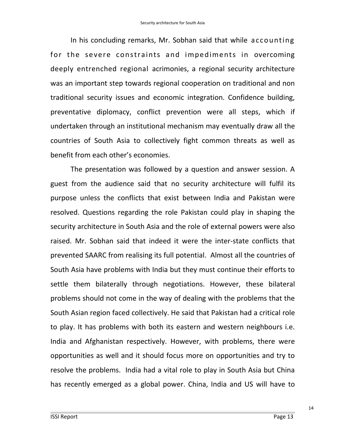In his concluding remarks, Mr. Sobhan said that while accounting for the severe constraints and impediments in overcoming deeply entrenched regional acrimonies, a regional security architecture was an important step towards regional cooperation on traditional and non traditional security issues and economic integration. Confidence building, preventative diplomacy, conflict prevention were all steps, which if undertaken through an institutional mechanism may eventually draw all the countries of South Asia to collectively fight common threats as well as benefit from each other's economies.

The presentation was followed by a question and answer session. A guest from the audience said that no security architecture will fulfil its purpose unless the conflicts that exist between India and Pakistan were resolved. Questions regarding the role Pakistan could play in shaping the security architecture in South Asia and the role of external powers were also raised. Mr. Sobhan said that indeed it were the inter-state conflicts that prevented SAARC from realising its full potential. Almost all the countries of South Asia have problems with India but they must continue their efforts to settle them bilaterally through negotiations. However, these bilateral problems should not come in the way of dealing with the problems that the South Asian region faced collectively. He said that Pakistan had a critical role to play. It has problems with both its eastern and western neighbours i.e. India and Afghanistan respectively. However, with problems, there were opportunities as well and it should focus more on opportunities and try to resolve the problems. India had a vital role to play in South Asia but China has recently emerged as a global power. China, India and US will have to

14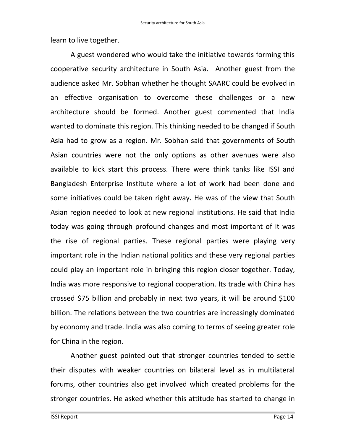learn to live together.

A guest wondered who would take the initiative towards forming this cooperative security architecture in South Asia. Another guest from the audience asked Mr. Sobhan whether he thought SAARC could be evolved in an effective organisation to overcome these challenges or a new architecture should be formed. Another guest commented that India wanted to dominate this region. This thinking needed to be changed if South Asia had to grow as a region. Mr. Sobhan said that governments of South Asian countries were not the only options as other avenues were also available to kick start this process. There were think tanks like ISSI and Bangladesh Enterprise Institute where a lot of work had been done and some initiatives could be taken right away. He was of the view that South Asian region needed to look at new regional institutions. He said that India today was going through profound changes and most important of it was the rise of regional parties. These regional parties were playing very important role in the Indian national politics and these very regional parties could play an important role in bringing this region closer together. Today, India was more responsive to regional cooperation. Its trade with China has crossed \$75 billion and probably in next two years, it will be around \$100 billion. The relations between the two countries are increasingly dominated by economy and trade. India was also coming to terms of seeing greater role for China in the region.

Another guest pointed out that stronger countries tended to settle their disputes with weaker countries on bilateral level as in multilateral forums, other countries also get involved which created problems for the stronger countries. He asked whether this attitude has started to change in